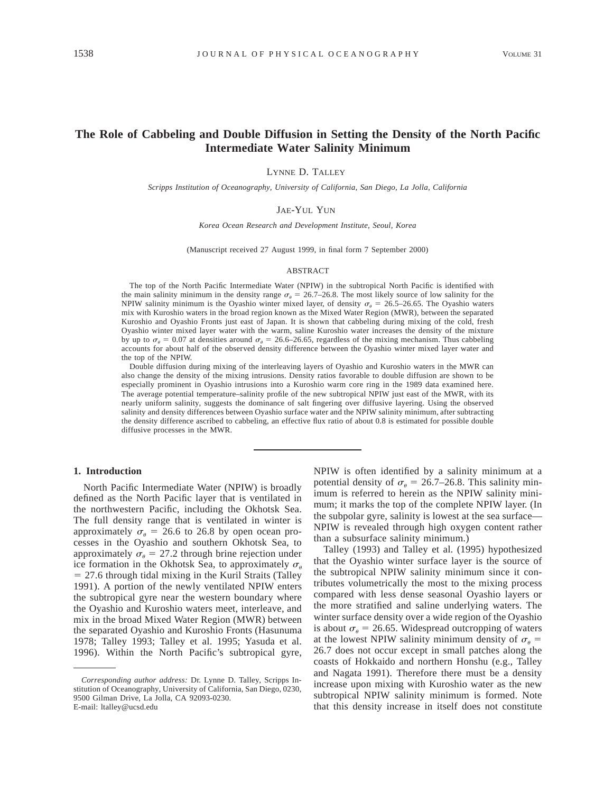# **The Role of Cabbeling and Double Diffusion in Setting the Density of the North Pacific Intermediate Water Salinity Minimum**

LYNNE D. TALLEY

*Scripps Institution of Oceanography, University of California, San Diego, La Jolla, California*

### JAE-YUL YUN

*Korea Ocean Research and Development Institute, Seoul, Korea*

(Manuscript received 27 August 1999, in final form 7 September 2000)

### ABSTRACT

The top of the North Pacific Intermediate Water (NPIW) in the subtropical North Pacific is identified with the main salinity minimum in the density range  $\sigma_{\theta} = 26.7{\text -}26.8$ . The most likely source of low salinity for the NPIW salinity minimum is the Oyashio winter mixed layer, of density  $\sigma_{\theta} = 26.5$ –26.65. The Oyashio waters mix with Kuroshio waters in the broad region known as the Mixed Water Region (MWR), between the separated Kuroshio and Oyashio Fronts just east of Japan. It is shown that cabbeling during mixing of the cold, fresh Oyashio winter mixed layer water with the warm, saline Kuroshio water increases the density of the mixture by up to  $\sigma_{\theta} = 0.07$  at densities around  $\sigma_{\theta} = 26.6{\text -}26.65$ , regardless of the mixing mechanism. Thus cabbeling accounts for about half of the observed density difference between the Oyashio winter mixed layer water and the top of the NPIW.

Double diffusion during mixing of the interleaving layers of Oyashio and Kuroshio waters in the MWR can also change the density of the mixing intrusions. Density ratios favorable to double diffusion are shown to be especially prominent in Oyashio intrusions into a Kuroshio warm core ring in the 1989 data examined here. The average potential temperature–salinity profile of the new subtropical NPIW just east of the MWR, with its nearly uniform salinity, suggests the dominance of salt fingering over diffusive layering. Using the observed salinity and density differences between Oyashio surface water and the NPIW salinity minimum, after subtracting the density difference ascribed to cabbeling, an effective flux ratio of about 0.8 is estimated for possible double diffusive processes in the MWR.

# **1. Introduction**

North Pacific Intermediate Water (NPIW) is broadly defined as the North Pacific layer that is ventilated in the northwestern Pacific, including the Okhotsk Sea. The full density range that is ventilated in winter is approximately  $\sigma_{\theta} = 26.6$  to 26.8 by open ocean processes in the Oyashio and southern Okhotsk Sea, to approximately  $\sigma_{\theta} = 27.2$  through brine rejection under ice formation in the Okhotsk Sea, to approximately  $\sigma_{\theta}$  $= 27.6$  through tidal mixing in the Kuril Straits (Talley 1991). A portion of the newly ventilated NPIW enters the subtropical gyre near the western boundary where the Oyashio and Kuroshio waters meet, interleave, and mix in the broad Mixed Water Region (MWR) between the separated Oyashio and Kuroshio Fronts (Hasunuma 1978; Talley 1993; Talley et al. 1995; Yasuda et al. 1996). Within the North Pacific's subtropical gyre, NPIW is often identified by a salinity minimum at a potential density of  $\sigma_{\theta} = 26.7{\text -}26.8$ . This salinity minimum is referred to herein as the NPIW salinity minimum; it marks the top of the complete NPIW layer. (In the subpolar gyre, salinity is lowest at the sea surface— NPIW is revealed through high oxygen content rather than a subsurface salinity minimum.)

Talley (1993) and Talley et al. (1995) hypothesized that the Oyashio winter surface layer is the source of the subtropical NPIW salinity minimum since it contributes volumetrically the most to the mixing process compared with less dense seasonal Oyashio layers or the more stratified and saline underlying waters. The winter surface density over a wide region of the Oyashio is about  $\sigma_{\theta} = 26.65$ . Widespread outcropping of waters at the lowest NPIW salinity minimum density of  $\sigma_{\theta} =$ 26.7 does not occur except in small patches along the coasts of Hokkaido and northern Honshu (e.g., Talley and Nagata 1991). Therefore there must be a density increase upon mixing with Kuroshio water as the new subtropical NPIW salinity minimum is formed. Note that this density increase in itself does not constitute

*Corresponding author address:* Dr. Lynne D. Talley, Scripps Institution of Oceanography, University of California, San Diego, 0230, 9500 Gilman Drive, La Jolla, CA 92093-0230. E-mail: ltalley@ucsd.edu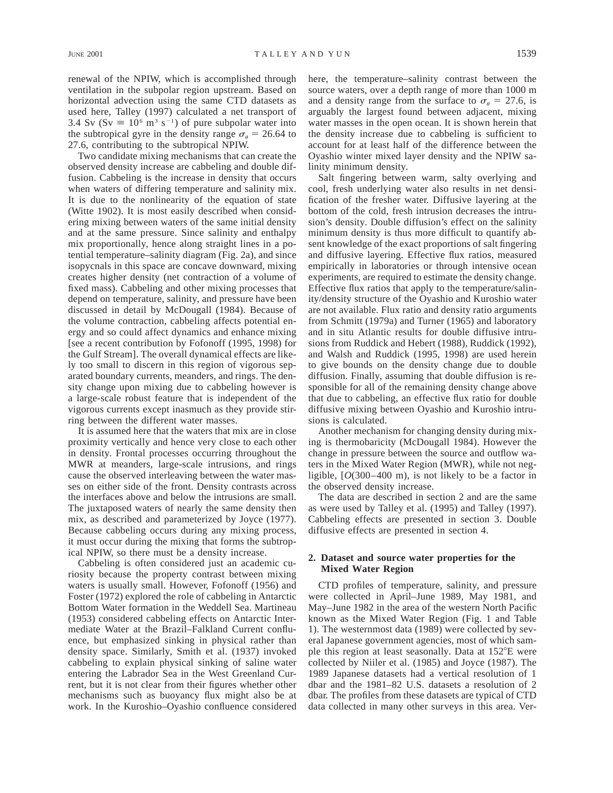renewal of the NPIW, which is accomplished through ventilation in the subpolar region upstream. Based on horizontal advection using the same CTD datasets as used here, Talley (1997) calculated a net transport of 3.4 Sv (Sv  $\equiv 10^6$  m<sup>3</sup> s<sup>-1</sup>) of pure subpolar water into the subtropical gyre in the density range  $\sigma_{\rm g} = 26.64$  to 27.6, contributing to the subtropical NPIW.

Two candidate mixing mechanisms that can create the observed density increase are cabbeling and double diffusion. Cabbeling is the increase in density that occurs when waters of differing temperature and salinity mix. It is due to the nonlinearity of the equation of state (Witte 1902). It is most easily described when considering mixing between waters of the same initial density and at the same pressure. Since salinity and enthalpy mix proportionally, hence along straight lines in a potential temperature–salinity diagram (Fig. 2a), and since isopycnals in this space are concave downward, mixing creates higher density (net contraction of a volume of fixed mass). Cabbeling and other mixing processes that depend on temperature, salinity, and pressure have been discussed in detail by McDougall (1984). Because of the volume contraction, cabbeling affects potential energy and so could affect dynamics and enhance mixing [see a recent contribution by Fofonoff (1995, 1998) for the Gulf Stream]. The overall dynamical effects are likely too small to discern in this region of vigorous separated boundary currents, meanders, and rings. The density change upon mixing due to cabbeling however is a large-scale robust feature that is independent of the vigorous currents except inasmuch as they provide stirring between the different water masses.

It is assumed here that the waters that mix are in close proximity vertically and hence very close to each other in density. Frontal processes occurring throughout the MWR at meanders, large-scale intrusions, and rings cause the observed interleaving between the water masses on either side of the front. Density contrasts across the interfaces above and below the intrusions are small. The juxtaposed waters of nearly the same density then mix, as described and parameterized by Joyce (1977). Because cabbeling occurs during any mixing process, it must occur during the mixing that forms the subtropical NPIW, so there must be a density increase.

Cabbeling is often considered just an academic curiosity because the property contrast between mixing waters is usually small. However, Fofonoff (1956) and Foster (1972) explored the role of cabbeling in Antarctic Bottom Water formation in the Weddell Sea. Martineau (1953) considered cabbeling effects on Antarctic Intermediate Water at the Brazil–Falkland Current confluence, but emphasized sinking in physical rather than density space. Similarly, Smith et al. (1937) invoked cabbeling to explain physical sinking of saline water entering the Labrador Sea in the West Greenland Current, but it is not clear from their figures whether other mechanisms such as buoyancy flux might also be at work. In the Kuroshio–Oyashio confluence considered here, the temperature–salinity contrast between the source waters, over a depth range of more than 1000 m and a density range from the surface to  $\sigma_a = 27.6$ , is arguably the largest found between adjacent, mixing water masses in the open ocean. It is shown herein that the density increase due to cabbeling is sufficient to account for at least half of the difference between the Oyashio winter mixed layer density and the NPIW salinity minimum density.

Salt fingering between warm, salty overlying and cool, fresh underlying water also results in net densification of the fresher water. Diffusive layering at the bottom of the cold, fresh intrusion decreases the intrusion's density. Double diffusion's effect on the salinity minimum density is thus more difficult to quantify absent knowledge of the exact proportions of salt fingering and diffusive layering. Effective flux ratios, measured empirically in laboratories or through intensive ocean experiments, are required to estimate the density change. Effective flux ratios that apply to the temperature/salinity/density structure of the Oyashio and Kuroshio water are not available. Flux ratio and density ratio arguments from Schmitt (1979a) and Turner (1965) and laboratory and in situ Atlantic results for double diffusive intrusions from Ruddick and Hebert (1988), Ruddick (1992), and Walsh and Ruddick (1995, 1998) are used herein to give bounds on the density change due to double diffusion. Finally, assuming that double diffusion is responsible for all of the remaining density change above that due to cabbeling, an effective flux ratio for double diffusive mixing between Oyashio and Kuroshio intrusions is calculated.

Another mechanism for changing density during mixing is thermobaricity (McDougall 1984). However the change in pressure between the source and outflow waters in the Mixed Water Region (MWR), while not negligible, [*O*(300–400 m), is not likely to be a factor in the observed density increase.

The data are described in section 2 and are the same as were used by Talley et al. (1995) and Talley (1997). Cabbeling effects are presented in section 3. Double diffusive effects are presented in section 4.

# **2. Dataset and source water properties for the Mixed Water Region**

CTD profiles of temperature, salinity, and pressure were collected in April–June 1989, May 1981, and May–June 1982 in the area of the western North Pacific known as the Mixed Water Region (Fig. 1 and Table 1). The westernmost data (1989) were collected by several Japanese government agencies, most of which sample this region at least seasonally. Data at  $152^{\circ}E$  were collected by Niiler et al. (1985) and Joyce (1987). The 1989 Japanese datasets had a vertical resolution of 1 dbar and the 1981–82 U.S. datasets a resolution of 2 dbar. The profiles from these datasets are typical of CTD data collected in many other surveys in this area. Ver-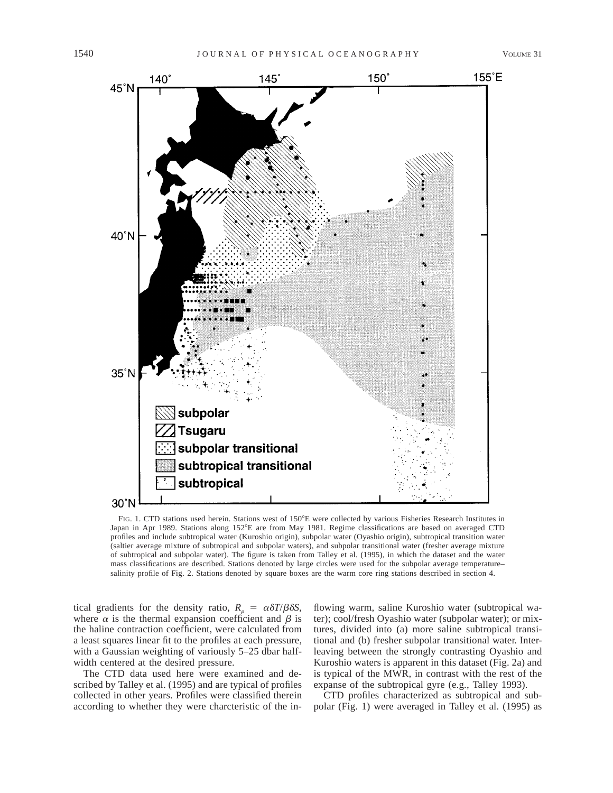

FIG. 1. CTD stations used herein. Stations west of 150°E were collected by various Fisheries Research Institutes in Japan in Apr 1989. Stations along 152°E are from May 1981. Regime classifications are based on averaged CTD profiles and include subtropical water (Kuroshio origin), subpolar water (Oyashio origin), subtropical transition water (saltier average mixture of subtropical and subpolar waters), and subpolar transitional water (fresher average mixture of subtropical and subpolar water). The figure is taken from Talley et al. (1995), in which the dataset and the water mass classifications are described. Stations denoted by large circles were used for the subpolar average temperature– salinity profile of Fig. 2. Stations denoted by square boxes are the warm core ring stations described in section 4.

tical gradients for the density ratio,  $R_p = \alpha \delta T/\beta \delta S$ , where  $\alpha$  is the thermal expansion coefficient and  $\beta$  is the haline contraction coefficient, were calculated from a least squares linear fit to the profiles at each pressure, with a Gaussian weighting of variously 5–25 dbar halfwidth centered at the desired pressure.

The CTD data used here were examined and described by Talley et al. (1995) and are typical of profiles collected in other years. Profiles were classified therein according to whether they were charcteristic of the in-

flowing warm, saline Kuroshio water (subtropical water); cool/fresh Oyashio water (subpolar water); or mixtures, divided into (a) more saline subtropical transitional and (b) fresher subpolar transitional water. Interleaving between the strongly contrasting Oyashio and Kuroshio waters is apparent in this dataset (Fig. 2a) and is typical of the MWR, in contrast with the rest of the expanse of the subtropical gyre (e.g., Talley 1993).

CTD profiles characterized as subtropical and subpolar (Fig. 1) were averaged in Talley et al. (1995) as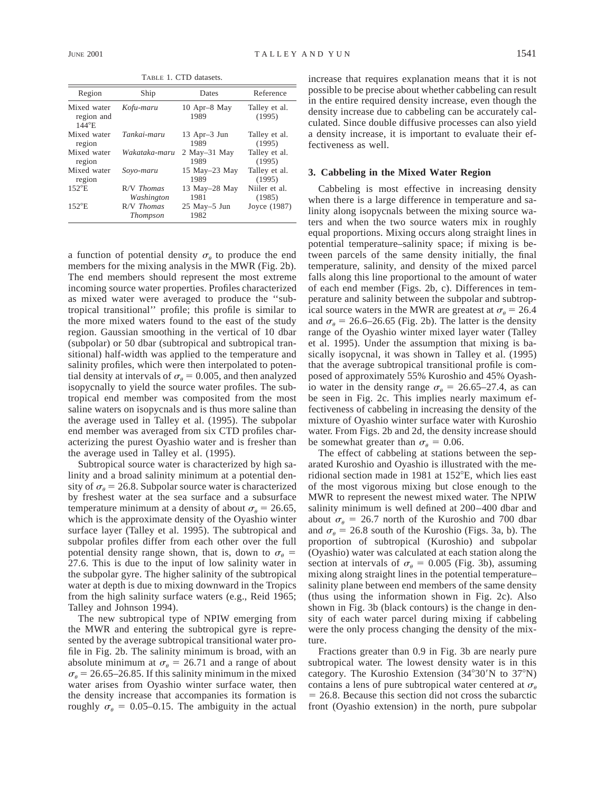TABLE 1. CTD datasets.

| Region                                       | Ship                            | Dates                  | Reference               |
|----------------------------------------------|---------------------------------|------------------------|-------------------------|
| Mixed water<br>region and<br>$144^{\circ}$ E | Kofu-maru                       | 10 Apr–8 May<br>1989   | Talley et al.<br>(1995) |
| Mixed water                                  | Tankai-maru                     | 13 Apr-3 Jun           | Talley et al.           |
| region                                       |                                 | 1989                   | (1995)                  |
| Mixed water                                  | Wakataka-maru                   | $2$ May $-31$ May      | Talley et al.           |
| region                                       |                                 | 1989                   | (1995)                  |
| Mixed water                                  | Sovo-maru                       | 15 May–23 May          | Talley et al.           |
| region                                       |                                 | 1989                   | (1995)                  |
| $152^{\circ}E$                               | $R/V$ Thomas                    | 13 May-28 May          | Niiler et al.           |
|                                              | Washington                      | 1981                   | (1985)                  |
| $152^{\circ}E$                               | $R/V$ Thomas<br><b>Thompson</b> | $25$ May-5 Jun<br>1982 | Joyce (1987)            |

a function of potential density  $\sigma_{\theta}$  to produce the end members for the mixing analysis in the MWR (Fig. 2b). The end members should represent the most extreme incoming source water properties. Profiles characterized as mixed water were averaged to produce the ''subtropical transitional'' profile; this profile is similar to the more mixed waters found to the east of the study region. Gaussian smoothing in the vertical of 10 dbar (subpolar) or 50 dbar (subtropical and subtropical transitional) half-width was applied to the temperature and salinity profiles, which were then interpolated to potential density at intervals of  $\sigma_{\theta} = 0.005$ , and then analyzed isopycnally to yield the source water profiles. The subtropical end member was composited from the most saline waters on isopycnals and is thus more saline than the average used in Talley et al. (1995). The subpolar end member was averaged from six CTD profiles characterizing the purest Oyashio water and is fresher than the average used in Talley et al. (1995).

Subtropical source water is characterized by high salinity and a broad salinity minimum at a potential density of  $\sigma_{\theta} = 26.8$ . Subpolar source water is characterized by freshest water at the sea surface and a subsurface temperature minimum at a density of about  $\sigma_{\theta} = 26.65$ , which is the approximate density of the Oyashio winter surface layer (Talley et al. 1995). The subtropical and subpolar profiles differ from each other over the full potential density range shown, that is, down to  $\sigma_{\theta} =$ 27.6. This is due to the input of low salinity water in the subpolar gyre. The higher salinity of the subtropical water at depth is due to mixing downward in the Tropics from the high salinity surface waters (e.g., Reid 1965; Talley and Johnson 1994).

The new subtropical type of NPIW emerging from the MWR and entering the subtropical gyre is represented by the average subtropical transitional water profile in Fig. 2b. The salinity minimum is broad, with an absolute minimum at  $\sigma_a = 26.71$  and a range of about  $\sigma_{\theta} = 26.65$ –26.85. If this salinity minimum in the mixed water arises from Oyashio winter surface water, then the density increase that accompanies its formation is roughly  $\sigma_{\theta} = 0.05{\text -}0.15$ . The ambiguity in the actual increase that requires explanation means that it is not possible to be precise about whether cabbeling can result in the entire required density increase, even though the density increase due to cabbeling can be accurately calculated. Since double diffusive processes can also yield a density increase, it is important to evaluate their effectiveness as well.

## **3. Cabbeling in the Mixed Water Region**

Cabbeling is most effective in increasing density when there is a large difference in temperature and salinity along isopycnals between the mixing source waters and when the two source waters mix in roughly equal proportions. Mixing occurs along straight lines in potential temperature–salinity space; if mixing is between parcels of the same density initially, the final temperature, salinity, and density of the mixed parcel falls along this line proportional to the amount of water of each end member (Figs. 2b, c). Differences in temperature and salinity between the subpolar and subtropical source waters in the MWR are greatest at  $\sigma_{\theta} = 26.4$ and  $\sigma_{\theta} = 26.6$ –26.65 (Fig. 2b). The latter is the density range of the Oyashio winter mixed layer water (Talley et al. 1995). Under the assumption that mixing is basically isopycnal, it was shown in Talley et al. (1995) that the average subtropical transitional profile is composed of approximately 55% Kuroshio and 45% Oyashio water in the density range  $\sigma_{\theta} = 26.65-27.4$ , as can be seen in Fig. 2c. This implies nearly maximum effectiveness of cabbeling in increasing the density of the mixture of Oyashio winter surface water with Kuroshio water. From Figs. 2b and 2d, the density increase should be somewhat greater than  $\sigma_{\theta} = 0.06$ .

The effect of cabbeling at stations between the separated Kuroshio and Oyashio is illustrated with the meridional section made in 1981 at  $152^{\circ}E$ , which lies east of the most vigorous mixing but close enough to the MWR to represent the newest mixed water. The NPIW salinity minimum is well defined at 200–400 dbar and about  $\sigma_{\theta} = 26.7$  north of the Kuroshio and 700 dbar and  $\sigma_a = 26.8$  south of the Kuroshio (Figs. 3a, b). The proportion of subtropical (Kuroshio) and subpolar (Oyashio) water was calculated at each station along the section at intervals of  $\sigma_{\theta} = 0.005$  (Fig. 3b), assuming mixing along straight lines in the potential temperature– salinity plane between end members of the same density (thus using the information shown in Fig. 2c). Also shown in Fig. 3b (black contours) is the change in density of each water parcel during mixing if cabbeling were the only process changing the density of the mixture.

Fractions greater than 0.9 in Fig. 3b are nearly pure subtropical water. The lowest density water is in this category. The Kuroshio Extension  $(34^{\circ}30^{\prime}N)$  to  $37^{\circ}N$ ) contains a lens of pure subtropical water centered at  $\sigma_{\theta}$  $= 26.8$ . Because this section did not cross the subarctic front (Oyashio extension) in the north, pure subpolar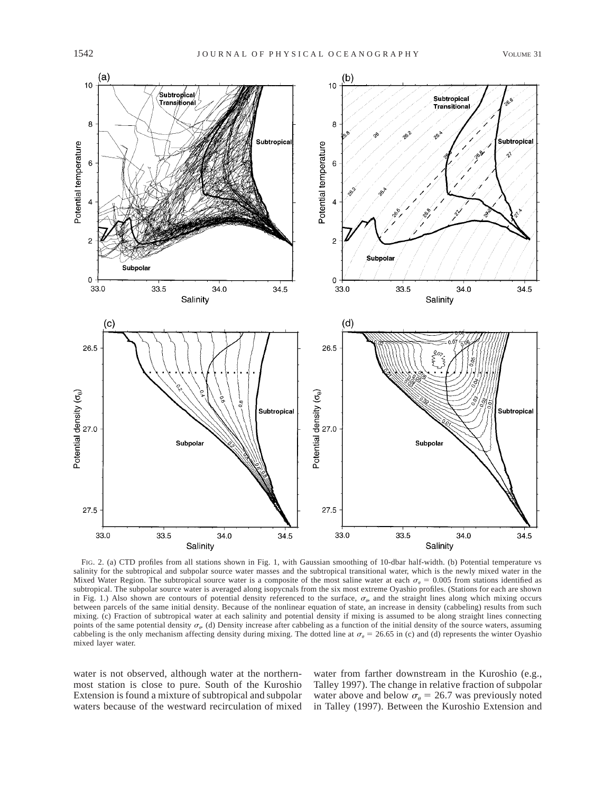

FIG. 2. (a) CTD profiles from all stations shown in Fig. 1, with Gaussian smoothing of 10-dbar half-width. (b) Potential temperature vs salinity for the subtropical and subpolar source water masses and the subtropical transitional water, which is the newly mixed water in the Mixed Water Region. The subtropical source water is a composite of the most saline water at each  $\sigma_{\theta} = 0.005$  from stations identified as subtropical. The subpolar source water is averaged along isopycnals from the six most extreme Oyashio profiles. (Stations for each are shown in Fig. 1.) Also shown are contours of potential density referenced to the surface,  $\sigma_{\varphi}$  and the straight lines along which mixing occurs between parcels of the same initial density. Because of the nonlinear equation of state, an increase in density (cabbeling) results from such mixing. (c) Fraction of subtropical water at each salinity and potential density if mixing is assumed to be along straight lines connecting points of the same potential density  $\sigma_{\varphi}$  (d) Density increase after cabbeling as a function of the initial density of the source waters, assuming cabbeling is the only mechanism affecting density during mixing. The dotted line at  $\sigma_{\theta} = 26.65$  in (c) and (d) represents the winter Oyashio mixed layer water.

water is not observed, although water at the northernmost station is close to pure. South of the Kuroshio Extension is found a mixture of subtropical and subpolar waters because of the westward recirculation of mixed water from farther downstream in the Kuroshio (e.g., Talley 1997). The change in relative fraction of subpolar water above and below  $\sigma_{\theta} = 26.7$  was previously noted in Talley (1997). Between the Kuroshio Extension and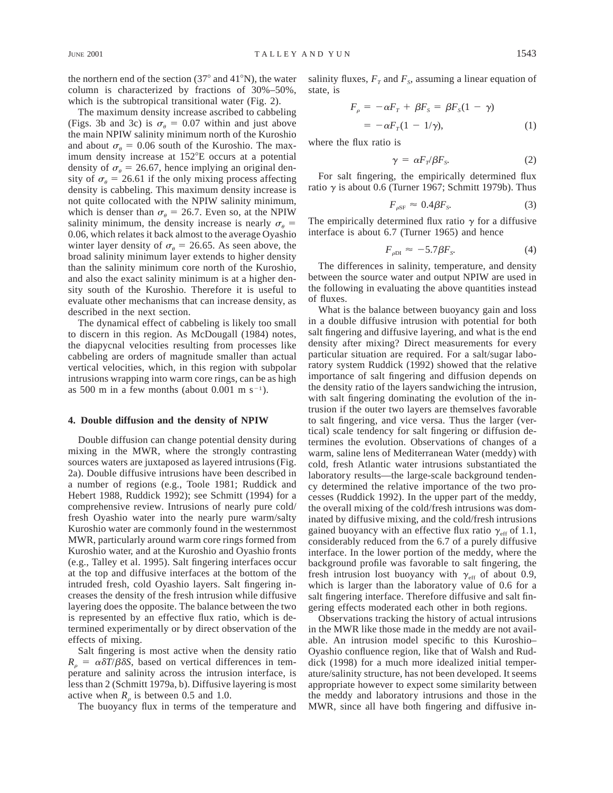the northern end of the section  $(37^{\circ}$  and  $41^{\circ}$ N), the water column is characterized by fractions of 30%–50%, which is the subtropical transitional water (Fig. 2).

The maximum density increase ascribed to cabbeling (Figs. 3b and 3c) is  $\sigma_{\theta} = 0.07$  within and just above the main NPIW salinity minimum north of the Kuroshio and about  $\sigma_{\theta} = 0.06$  south of the Kuroshio. The maximum density increase at 152°E occurs at a potential density of  $\sigma_{\theta} = 26.67$ , hence implying an original density of  $\sigma_{\theta} = 26.61$  if the only mixing process affecting density is cabbeling. This maximum density increase is not quite collocated with the NPIW salinity minimum, which is denser than  $\sigma_{\theta} = 26.7$ . Even so, at the NPIW salinity minimum, the density increase is nearly  $\sigma_{\theta} =$ 0.06, which relates it back almost to the average Oyashio winter layer density of  $\sigma_{\theta} = 26.65$ . As seen above, the broad salinity minimum layer extends to higher density than the salinity minimum core north of the Kuroshio, and also the exact salinity minimum is at a higher density south of the Kuroshio. Therefore it is useful to evaluate other mechanisms that can increase density, as described in the next section.

The dynamical effect of cabbeling is likely too small to discern in this region. As McDougall (1984) notes, the diapycnal velocities resulting from processes like cabbeling are orders of magnitude smaller than actual vertical velocities, which, in this region with subpolar intrusions wrapping into warm core rings, can be as high as 500 m in a few months (about 0.001 m  $s^{-1}$ ).

### **4. Double diffusion and the density of NPIW**

Double diffusion can change potential density during mixing in the MWR, where the strongly contrasting sources waters are juxtaposed as layered intrusions (Fig. 2a). Double diffusive intrusions have been described in a number of regions (e.g., Toole 1981; Ruddick and Hebert 1988, Ruddick 1992); see Schmitt (1994) for a comprehensive review. Intrusions of nearly pure cold/ fresh Oyashio water into the nearly pure warm/salty Kuroshio water are commonly found in the westernmost MWR, particularly around warm core rings formed from Kuroshio water, and at the Kuroshio and Oyashio fronts (e.g., Talley et al. 1995). Salt fingering interfaces occur at the top and diffusive interfaces at the bottom of the intruded fresh, cold Oyashio layers. Salt fingering increases the density of the fresh intrusion while diffusive layering does the opposite. The balance between the two is represented by an effective flux ratio, which is determined experimentally or by direct observation of the effects of mixing.

Salt fingering is most active when the density ratio  $R_o = \alpha \delta T/\beta \delta S$ , based on vertical differences in temperature and salinity across the intrusion interface, is less than 2 (Schmitt 1979a, b). Diffusive layering is most active when  $R_{\rho}$  is between 0.5 and 1.0.

The buoyancy flux in terms of the temperature and

salinity fluxes,  $F<sub>T</sub>$  and  $F<sub>s</sub>$  assuming a linear equation of state, is

$$
F_{\rho} = -\alpha F_{T} + \beta F_{S} = \beta F_{S} (1 - \gamma)
$$
  
=  $-\alpha F_{T} (1 - 1/\gamma),$  (1)

where the flux ratio is

$$
\gamma = \alpha F_{\gamma}/\beta F_{s}.
$$
 (2)

For salt fingering, the empirically determined flux ratio  $\gamma$  is about 0.6 (Turner 1967; Schmitt 1979b). Thus

$$
F_{\rho \text{SF}} \approx 0.4 \beta F_s. \tag{3}
$$

The empirically determined flux ratio  $\gamma$  for a diffusive interface is about 6.7 (Turner 1965) and hence

$$
F_{\rho \text{DI}} \approx -5.7 \beta F_s. \tag{4}
$$

The differences in salinity, temperature, and density between the source water and output NPIW are used in the following in evaluating the above quantities instead of fluxes.

What is the balance between buoyancy gain and loss in a double diffusive intrusion with potential for both salt fingering and diffusive layering, and what is the end density after mixing? Direct measurements for every particular situation are required. For a salt/sugar laboratory system Ruddick (1992) showed that the relative importance of salt fingering and diffusion depends on the density ratio of the layers sandwiching the intrusion, with salt fingering dominating the evolution of the intrusion if the outer two layers are themselves favorable to salt fingering, and vice versa. Thus the larger (vertical) scale tendency for salt fingering or diffusion determines the evolution. Observations of changes of a warm, saline lens of Mediterranean Water (meddy) with cold, fresh Atlantic water intrusions substantiated the laboratory results—the large-scale background tendency determined the relative importance of the two processes (Ruddick 1992). In the upper part of the meddy, the overall mixing of the cold/fresh intrusions was dominated by diffusive mixing, and the cold/fresh intrusions gained buoyancy with an effective flux ratio  $\gamma_{\text{eff}}$  of 1.1, considerably reduced from the 6.7 of a purely diffusive interface. In the lower portion of the meddy, where the background profile was favorable to salt fingering, the fresh intrusion lost buoyancy with  $\gamma_{\text{eff}}$  of about 0.9, which is larger than the laboratory value of 0.6 for a salt fingering interface. Therefore diffusive and salt fingering effects moderated each other in both regions.

Observations tracking the history of actual intrusions in the MWR like those made in the meddy are not available. An intrusion model specific to this Kuroshio– Oyashio confluence region, like that of Walsh and Ruddick (1998) for a much more idealized initial temperature/salinity structure, has not been developed. It seems appropriate however to expect some similarity between the meddy and laboratory intrusions and those in the MWR, since all have both fingering and diffusive in-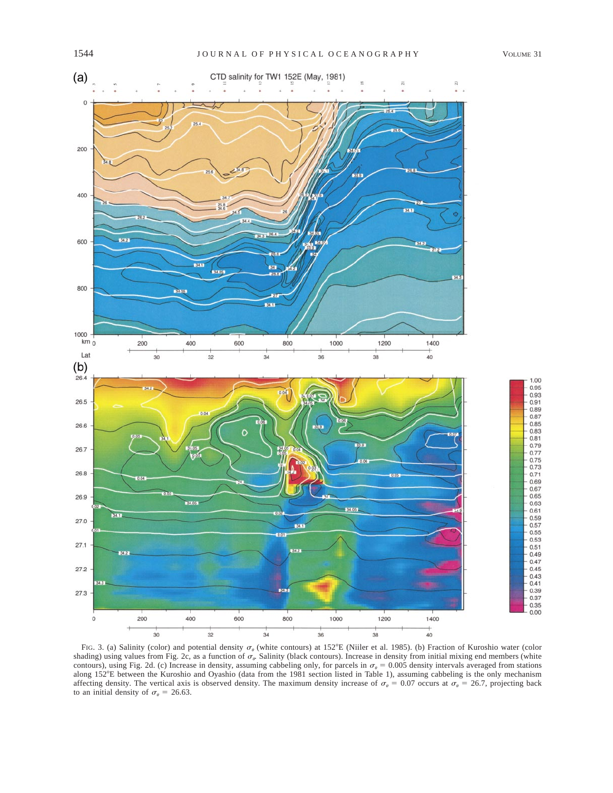

FIG. 3. (a) Salinity (color) and potential density  $\sigma_{\theta}$  (white contours) at 152°E (Niiler et al. 1985). (b) Fraction of Kuroshio water (color shading) using values from Fig. 2c, as a function of  $\sigma_{\varphi}$  Salinity (black contours). Increase in density from initial mixing end members (white contours), using Fig. 2d. (c) Increase in density, assuming cabbeling only, for parcels in  $\sigma_{\theta} = 0.005$  density intervals averaged from stations along 1528E between the Kuroshio and Oyashio (data from the 1981 section listed in Table 1), assuming cabbeling is the only mechanism affecting density. The vertical axis is observed density. The maximum density increase of  $\sigma_{\theta} = 0.07$  occurs at  $\sigma_{\theta} = 26.7$ , projecting back to an initial density of  $\sigma_{\theta} = 26.63$ .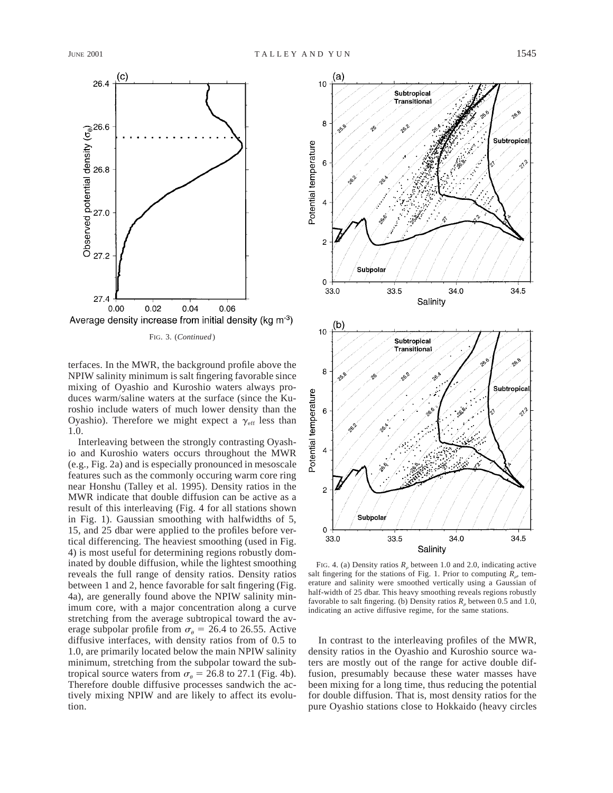

FIG. 3. (*Continued* )

terfaces. In the MWR, the background profile above the NPIW salinity minimum is salt fingering favorable since mixing of Oyashio and Kuroshio waters always produces warm/saline waters at the surface (since the Kuroshio include waters of much lower density than the Oyashio). Therefore we might expect a  $\gamma_{\text{eff}}$  less than 1.0.

Interleaving between the strongly contrasting Oyashio and Kuroshio waters occurs throughout the MWR (e.g., Fig. 2a) and is especially pronounced in mesoscale features such as the commonly occuring warm core ring near Honshu (Talley et al. 1995). Density ratios in the MWR indicate that double diffusion can be active as a result of this interleaving (Fig. 4 for all stations shown in Fig. 1). Gaussian smoothing with halfwidths of 5, 15, and 25 dbar were applied to the profiles before vertical differencing. The heaviest smoothing (used in Fig. 4) is most useful for determining regions robustly dominated by double diffusion, while the lightest smoothing reveals the full range of density ratios. Density ratios between 1 and 2, hence favorable for salt fingering (Fig. 4a), are generally found above the NPIW salinity minimum core, with a major concentration along a curve stretching from the average subtropical toward the average subpolar profile from  $\sigma_{\theta} = 26.4$  to 26.55. Active diffusive interfaces, with density ratios from of 0.5 to 1.0, are primarily located below the main NPIW salinity minimum, stretching from the subpolar toward the subtropical source waters from  $\sigma_{\theta} = 26.8$  to 27.1 (Fig. 4b). Therefore double diffusive processes sandwich the actively mixing NPIW and are likely to affect its evolution.



FIG. 4. (a) Density ratios  $R<sub>o</sub>$  between 1.0 and 2.0, indicating active salt fingering for the stations of Fig. 1. Prior to computing  $R_{\rho}$  temerature and salinity were smoothed vertically using a Gaussian of half-width of 25 dbar. This heavy smoothing reveals regions robustly favorable to salt fingering. (b) Density ratios  $R<sub>o</sub>$  between 0.5 and 1.0, indicating an active diffusive regime, for the same stations.

In contrast to the interleaving profiles of the MWR, density ratios in the Oyashio and Kuroshio source waters are mostly out of the range for active double diffusion, presumably because these water masses have been mixing for a long time, thus reducing the potential for double diffusion. That is, most density ratios for the pure Oyashio stations close to Hokkaido (heavy circles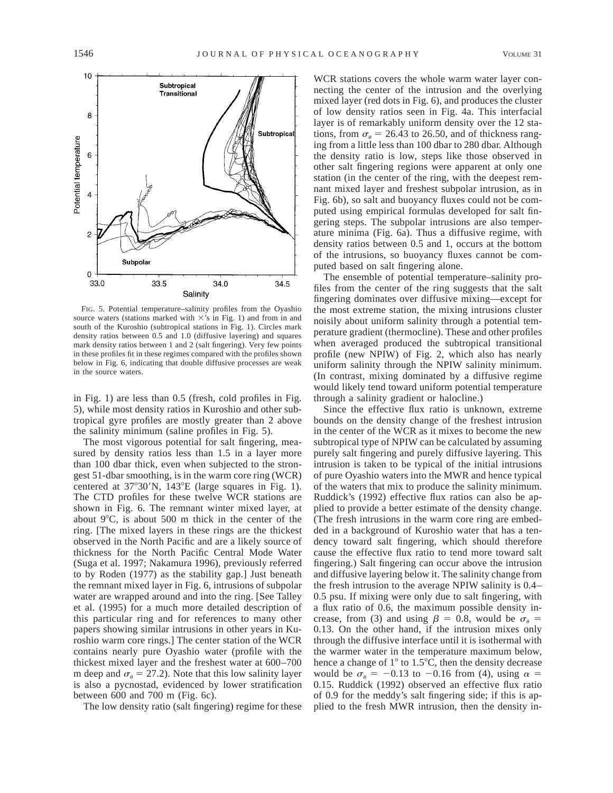

FIG. 5. Potential temperature–salinity profiles from the Oyashio source waters (stations marked with  $\times$ 's in Fig. 1) and from in and south of the Kuroshio (subtropical stations in Fig. 1). Circles mark density ratios between 0.5 and 1.0 (diffusive layering) and squares mark density ratios between 1 and 2 (salt fingering). Very few points in these profiles fit in these regimes compared with the profiles shown below in Fig. 6, indicating that double diffusive processes are weak in the source waters.

in Fig. 1) are less than 0.5 (fresh, cold profiles in Fig. 5), while most density ratios in Kuroshio and other subtropical gyre profiles are mostly greater than 2 above the salinity minimum (saline profiles in Fig. 5).

The most vigorous potential for salt fingering, measured by density ratios less than 1.5 in a layer more than 100 dbar thick, even when subjected to the strongest 51-dbar smoothing, is in the warm core ring (WCR) centered at  $37^{\circ}30'$ N,  $143^{\circ}$ E (large squares in Fig. 1). The CTD profiles for these twelve WCR stations are shown in Fig. 6. The remnant winter mixed layer, at about  $9^{\circ}$ C, is about 500 m thick in the center of the ring. [The mixed layers in these rings are the thickest observed in the North Pacific and are a likely source of thickness for the North Pacific Central Mode Water (Suga et al. 1997; Nakamura 1996), previously referred to by Roden (1977) as the stability gap.] Just beneath the remnant mixed layer in Fig. 6, intrusions of subpolar water are wrapped around and into the ring. [See Talley et al. (1995) for a much more detailed description of this particular ring and for references to many other papers showing similar intrusions in other years in Kuroshio warm core rings.] The center station of the WCR contains nearly pure Oyashio water (profile with the thickest mixed layer and the freshest water at 600–700 m deep and  $\sigma_{\theta} = 27.2$ ). Note that this low salinity layer is also a pycnostad, evidenced by lower stratification between 600 and 700 m (Fig. 6c).

The low density ratio (salt fingering) regime for these

WCR stations covers the whole warm water layer connecting the center of the intrusion and the overlying mixed layer (red dots in Fig. 6), and produces the cluster of low density ratios seen in Fig. 4a. This interfacial layer is of remarkably uniform density over the 12 stations, from  $\sigma_a = 26.43$  to 26.50, and of thickness ranging from a little less than 100 dbar to 280 dbar. Although the density ratio is low, steps like those observed in other salt fingering regions were apparent at only one station (in the center of the ring, with the deepest remnant mixed layer and freshest subpolar intrusion, as in Fig. 6b), so salt and buoyancy fluxes could not be computed using empirical formulas developed for salt fingering steps. The subpolar intrusions are also temperature minima (Fig. 6a). Thus a diffusive regime, with density ratios between 0.5 and 1, occurs at the bottom of the intrusions, so buoyancy fluxes cannot be computed based on salt fingering alone.

The ensemble of potential temperature–salinity profiles from the center of the ring suggests that the salt fingering dominates over diffusive mixing—except for the most extreme station, the mixing intrusions cluster noisily about uniform salinity through a potential temperature gradient (thermocline). These and other profiles when averaged produced the subtropical transitional profile (new NPIW) of Fig. 2, which also has nearly uniform salinity through the NPIW salinity minimum. (In contrast, mixing dominated by a diffusive regime would likely tend toward uniform potential temperature through a salinity gradient or halocline.)

Since the effective flux ratio is unknown, extreme bounds on the density change of the freshest intrusion in the center of the WCR as it mixes to become the new subtropical type of NPIW can be calculated by assuming purely salt fingering and purely diffusive layering. This intrusion is taken to be typical of the initial intrusions of pure Oyashio waters into the MWR and hence typical of the waters that mix to produce the salinity minimum. Ruddick's (1992) effective flux ratios can also be applied to provide a better estimate of the density change. (The fresh intrusions in the warm core ring are embedded in a background of Kuroshio water that has a tendency toward salt fingering, which should therefore cause the effective flux ratio to tend more toward salt fingering.) Salt fingering can occur above the intrusion and diffusive layering below it. The salinity change from the fresh intrusion to the average NPIW salinity is 0.4– 0.5 psu. If mixing were only due to salt fingering, with a flux ratio of 0.6, the maximum possible density increase, from (3) and using  $\beta = 0.8$ , would be  $\sigma_{\theta} =$ 0.13. On the other hand, if the intrusion mixes only through the diffusive interface until it is isothermal with the warmer water in the temperature maximum below, hence a change of  $1^{\circ}$  to 1.5 $^{\circ}$ C, then the density decrease would be  $\sigma_{\theta} = -0.13$  to  $-0.16$  from (4), using  $\alpha =$ 0.15. Ruddick (1992) observed an effective flux ratio of 0.9 for the meddy's salt fingering side; if this is applied to the fresh MWR intrusion, then the density in-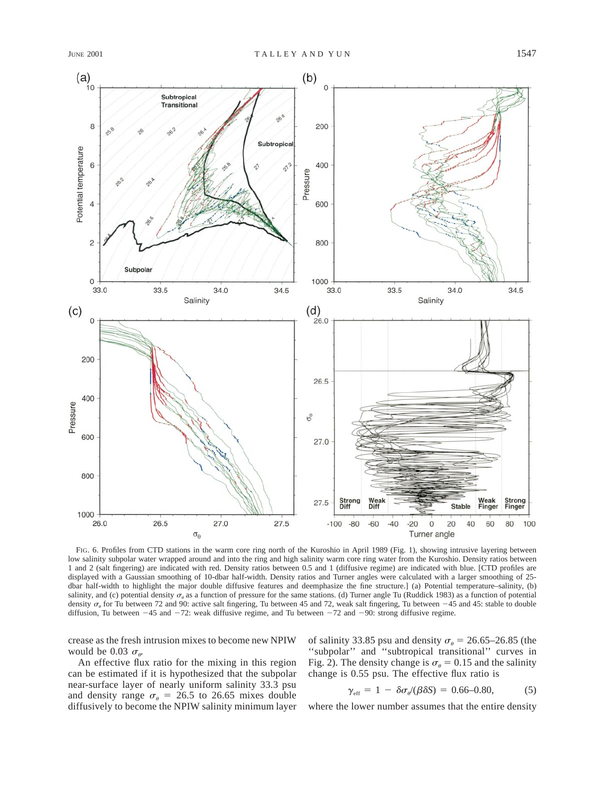

FIG. 6. Profiles from CTD stations in the warm core ring north of the Kuroshio in April 1989 (Fig. 1), showing intrusive layering between low salinity subpolar water wrapped around and into the ring and high salinity warm core ring water from the Kuroshio. Density ratios between 1 and 2 (salt fingering) are indicated with red. Density ratios between 0.5 and 1 (diffusive regime) are indicated with blue. [CTD profiles are displayed with a Gaussian smoothing of 10-dbar half-width. Density ratios and Turner angles were calculated with a larger smoothing of 25 dbar half-width to highlight the major double diffusive features and deemphasize the fine structure.] (a) Potential temperature–salinity, (b) salinity, and (c) potential density  $\sigma_{\theta}$  as a function of pressure for the same stations. (d) Turner angle Tu (Ruddick 1983) as a function of potential density  $\sigma_{\theta}$  for Tu between 72 and 90: active salt fingering, Tu between 45 and 72, weak salt fingering, Tu between  $-45$  and 45: stable to double diffusion, Tu between  $-45$  and  $-72$ : weak diffusive regime, and Tu between  $-72$  and  $-90$ : strong diffusive regime.

crease as the fresh intrusion mixes to become new NPIW would be 0.03  $\sigma_{\alpha}$ .

An effective flux ratio for the mixing in this region can be estimated if it is hypothesized that the subpolar near-surface layer of nearly uniform salinity 33.3 psu and density range  $\sigma_{\theta} = 26.5$  to 26.65 mixes double diffusively to become the NPIW salinity minimum layer of salinity 33.85 psu and density  $\sigma_{\theta} = 26.65 - 26.85$  (the ''subpolar'' and ''subtropical transitional'' curves in Fig. 2). The density change is  $\sigma_{\theta} = 0.15$  and the salinity change is 0.55 psu. The effective flux ratio is

$$
\gamma_{\rm eff} = 1 - \delta \sigma_{\theta} / (\beta \delta S) = 0.66 - 0.80, \tag{5}
$$

where the lower number assumes that the entire density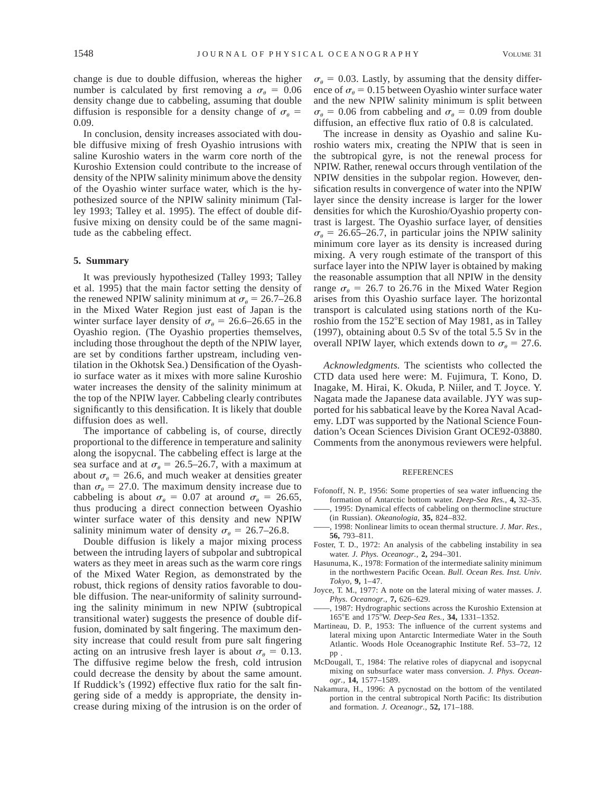change is due to double diffusion, whereas the higher number is calculated by first removing a  $\sigma_{\theta} = 0.06$ density change due to cabbeling, assuming that double diffusion is responsible for a density change of  $\sigma_{\theta} =$ 0.09.

In conclusion, density increases associated with double diffusive mixing of fresh Oyashio intrusions with saline Kuroshio waters in the warm core north of the Kuroshio Extension could contribute to the increase of density of the NPIW salinity minimum above the density of the Oyashio winter surface water, which is the hypothesized source of the NPIW salinity minimum (Talley 1993; Talley et al. 1995). The effect of double diffusive mixing on density could be of the same magnitude as the cabbeling effect.

### **5. Summary**

It was previously hypothesized (Talley 1993; Talley et al. 1995) that the main factor setting the density of the renewed NPIW salinity minimum at  $\sigma_{\theta} = 26.7{\text -}26.8$ in the Mixed Water Region just east of Japan is the winter surface layer density of  $\sigma_{\theta} = 26.6{\text -}26.65$  in the Oyashio region. (The Oyashio properties themselves, including those throughout the depth of the NPIW layer, are set by conditions farther upstream, including ventilation in the Okhotsk Sea.) Densification of the Oyashio surface water as it mixes with more saline Kuroshio water increases the density of the salinity minimum at the top of the NPIW layer. Cabbeling clearly contributes significantly to this densification. It is likely that double diffusion does as well.

The importance of cabbeling is, of course, directly proportional to the difference in temperature and salinity along the isopycnal. The cabbeling effect is large at the sea surface and at  $\sigma_{\theta} = 26.5{\text -}26.7$ , with a maximum at about  $\sigma_{\theta}$  = 26.6, and much weaker at densities greater than  $\sigma_{\theta} = 27.0$ . The maximum density increase due to cabbeling is about  $\sigma_{\theta} = 0.07$  at around  $\sigma_{\theta} = 26.65$ , thus producing a direct connection between Oyashio winter surface water of this density and new NPIW salinity minimum water of density  $\sigma_a = 26.7{\text -}26.8$ .

Double diffusion is likely a major mixing process between the intruding layers of subpolar and subtropical waters as they meet in areas such as the warm core rings of the Mixed Water Region, as demonstrated by the robust, thick regions of density ratios favorable to double diffusion. The near-uniformity of salinity surrounding the salinity minimum in new NPIW (subtropical transitional water) suggests the presence of double diffusion, dominated by salt fingering. The maximum density increase that could result from pure salt fingering acting on an intrusive fresh layer is about  $\sigma_{\theta} = 0.13$ . The diffusive regime below the fresh, cold intrusion could decrease the density by about the same amount. If Ruddick's (1992) effective flux ratio for the salt fingering side of a meddy is appropriate, the density increase during mixing of the intrusion is on the order of  $\sigma_{\theta} = 0.03$ . Lastly, by assuming that the density difference of  $\sigma_{\theta} = 0.15$  between Oyashio winter surface water and the new NPIW salinity minimum is split between  $\sigma_{\theta} = 0.06$  from cabbeling and  $\sigma_{\theta} = 0.09$  from double diffusion, an effective flux ratio of 0.8 is calculated.

The increase in density as Oyashio and saline Kuroshio waters mix, creating the NPIW that is seen in the subtropical gyre, is not the renewal process for NPIW. Rather, renewal occurs through ventilation of the NPIW densities in the subpolar region. However, densification results in convergence of water into the NPIW layer since the density increase is larger for the lower densities for which the Kuroshio/Oyashio property contrast is largest. The Oyashio surface layer, of densities  $\sigma_{\theta}$  = 26.65–26.7, in particular joins the NPIW salinity minimum core layer as its density is increased during mixing. A very rough estimate of the transport of this surface layer into the NPIW layer is obtained by making the reasonable assumption that all NPIW in the density range  $\sigma_{\theta}$  = 26.7 to 26.76 in the Mixed Water Region arises from this Oyashio surface layer. The horizontal transport is calculated using stations north of the Kuroshio from the  $152^{\circ}E$  section of May 1981, as in Talley (1997), obtaining about 0.5 Sv of the total 5.5 Sv in the overall NPIW layer, which extends down to  $\sigma_{\theta} = 27.6$ .

*Acknowledgments.* The scientists who collected the CTD data used here were: M. Fujimura, T. Kono, D. Inagake, M. Hirai, K. Okuda, P. Niiler, and T. Joyce. Y. Nagata made the Japanese data available. JYY was supported for his sabbatical leave by the Korea Naval Academy. LDT was supported by the National Science Foundation's Ocean Sciences Division Grant OCE92-03880. Comments from the anonymous reviewers were helpful.

#### **REFERENCES**

- Fofonoff, N. P., 1956: Some properties of sea water influencing the formation of Antarctic bottom water. *Deep-Sea Res.,* **4,** 32–35. 1995: Dynamical effects of cabbeling on thermocline structure
- (in Russian). *Okeanologia,* **35,** 824–832.
- ——, 1998: Nonlinear limits to ocean thermal structure. *J. Mar. Res.,* **56,** 793–811.
- Foster, T. D., 1972: An analysis of the cabbeling instability in sea water. *J. Phys. Oceanogr.,* **2,** 294–301.
- Hasunuma, K., 1978: Formation of the intermediate salinity minimum in the northwestern Pacific Ocean. *Bull. Ocean Res. Inst. Univ. Tokyo,* **9,** 1–47.
- Joyce, T. M., 1977: A note on the lateral mixing of water masses. *J. Phys. Oceanogr.,* **7,** 626–629.
- ——, 1987: Hydrographic sections across the Kuroshio Extension at 1658E and 1758W. *Deep-Sea Res.,* **34,** 1331–1352.
- Martineau, D. P., 1953: The influence of the current systems and lateral mixing upon Antarctic Intermediate Water in the South Atlantic. Woods Hole Oceanographic Institute Ref. 53–72, 12 pp
- McDougall, T., 1984: The relative roles of diapycnal and isopycnal mixing on subsurface water mass conversion. *J. Phys. Oceanogr.,* **14,** 1577–1589.
- Nakamura, H., 1996: A pycnostad on the bottom of the ventilated portion in the central subtropical North Pacific: Its distribution and formation. *J. Oceanogr.,* **52,** 171–188.